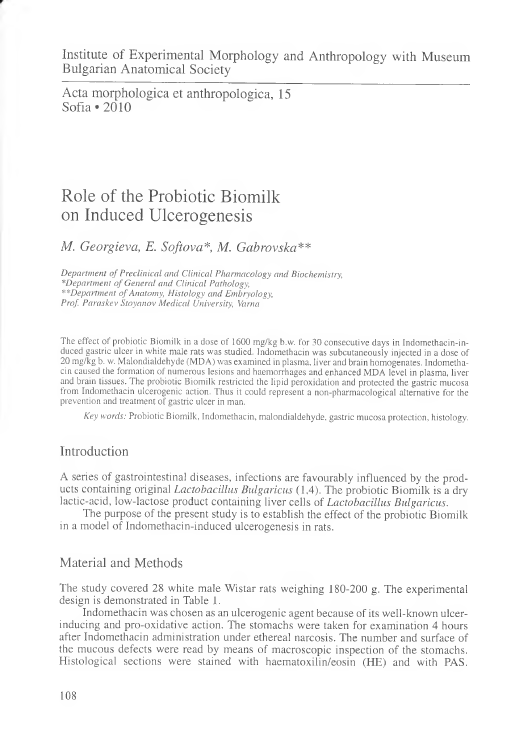Institute of Experimental Morphology and Anthropology with Museum Bulgarian Anatomical Society

Acta morphologica et anthropologica, 15 Sofia  $\cdot$  2010

# Role of the Probiotic Biomilk on Induced Ulcerogenesis

# *M. Georgieva, E. Softova\*, M. Gabrovska\*\**

*Department of Preclinical and Clinical Pharmacology and Biochemistry, \*Department of General and Clinical Pathology, \*\*Department of Anatomy, Histology and Embryology, Prof. Paraskev Stoyanov Medical University, Varna*

The effect of probiotic Biomilk in a dose of 1600 mg/kg b.w. for 30 consecutive days in Indomethacin-induced gastric ulcer in white male rats was studied. Indomethacin was subcutaneously injected in a dose of 20 mg/kg b. w. Malondialdehyde (MDA) was examined in plasma, liver and brain homogenates. Indomethacin caused the formation of numerous lesions and haemorrhages and enhanced MDA level in plasma, liver and brain tissues. The probiotic Biomilk restricted the lipid peroxidation and protected the gastric mucosa from Indomethacin ulcerogenic action. Thus it could represent a non-pharmacological alternative for the prevention and treatment of gastric ulcer in man.

*Key words:* Probiotic Biomilk, Indomethacin, malondialdehyde, gastric mucosa protection, histology.

## Introduction

A series of gastrointestinal diseases, infections are favourably influenced by the products containing original *Lactobacillus Bulgaricus* (1,4). The probiotic Biomilk is a dry lactic-acid, low-lactose product containing liver cells of *Lactobacillus Bulgaricus.*

The purpose of the present study is to establish the effect of the probiotic Biomilk in a model of Indomethacin-induced ulcerogenesis in rats.

## Material and Methods

The study covered 28 white male Wistar rats weighing 180-200 g. The experimental design is demonstrated in Table 1.

Indomethacin was chosen as an ulcerogenic agent because of its well-known ulcerinducing and pro-oxidative action. The stomachs were taken for examination 4 hours after Indomethacin administration under ethereal narcosis. The number and surface of the mucous defects were read by means of macroscopic inspection of the stomachs. Histological sections were stained with haematoxilin/eosin (HE) and with PAS.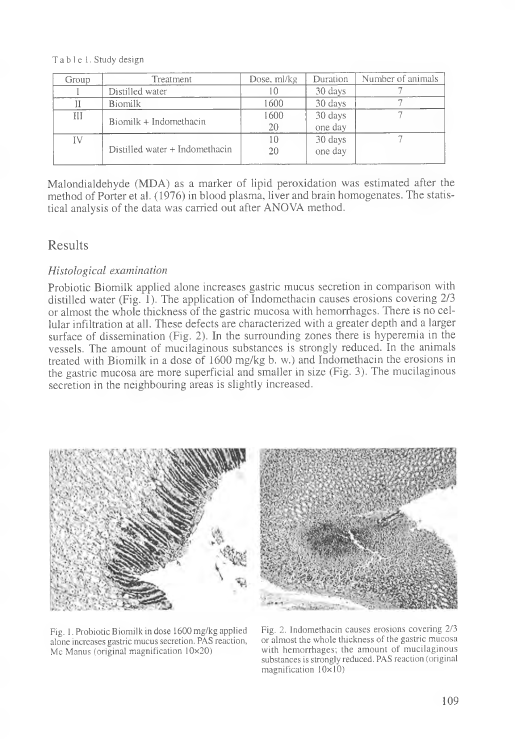Table 1. Study design

| Group | Treatment                      | Dose, ml/kg | Duration | Number of animals |
|-------|--------------------------------|-------------|----------|-------------------|
|       | Distilled water                | 10          | 30 days  |                   |
|       | <b>Biomilk</b>                 | 1600        | 30 days  |                   |
| III   | Biomilk + Indomethacin         | 1600        | 30 days  |                   |
|       |                                | 20          | one day  |                   |
| IV    |                                | 10          | 30 days  |                   |
|       | Distilled water + Indomethacin | 20          | one day  |                   |
|       |                                |             |          |                   |

Malondialdehyde (MDA) as a marker of lipid peroxidation was estimated after the method of Porter et al. (1976) in blood plasma, liver and brain homogenates. The statistical analysis of the data was carried out after ANOVA method.

# Results

## *Histological examination*

Probiotic Biomilk applied alone increases gastric mucus secretion in comparison with distilled water (Fig. 1). The application of Indomethacin causes erosions covering  $2/3$ or almost the whole thickness of the gastric mucosa with hemorrhages. There is no cellular infiltration at all. These defects are characterized with a greater depth and a larger surface of dissemination (Fig. 2). In the surrounding zones there is hyperemia in the vessels. The amount of mucilaginous substances is strongly reduced. In the animals treated with Biomilk in a dose of 1600 mg/kg b. w.) and Indomethacin the erosions in the gastric mucosa are more superficial and smaller in size (Fig. 3). The mucilaginous secretion in the neighbouring areas is slightly increased.







Fig. 2. Indomethacin causes erosions covering 2/3 or almost the whole thickness of the gastric mucosa with hemorrhages; the amount of mucilaginous substances is strongly reduced. PAS reaction (original magnification 10x10)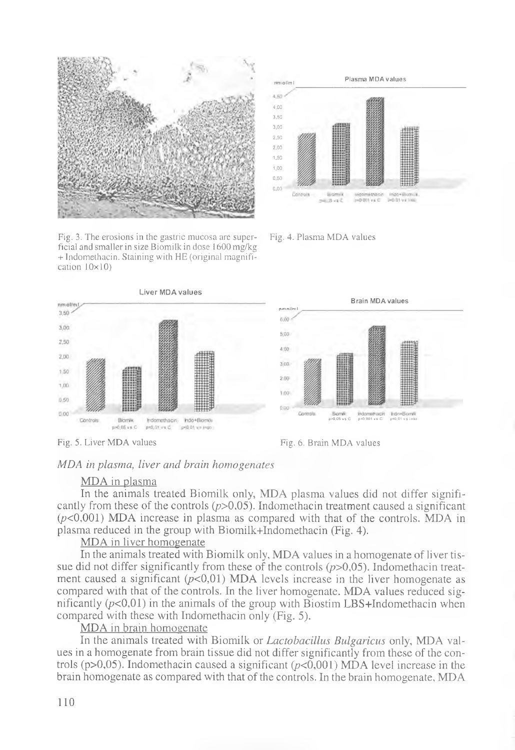

Fig. 3. The erosions in the gastric mucosa are super- Fig. 4. Plasma MDA values ficial and smaller in size Biomilk in dose 1600 mg/kg + Indomethacin. Staining with HE (original magnification 10x10)









Fig. 5. Liver MDA values Fig. 6. Brain MDA values

#### *MDA in plasma, liver and brain homogenates*

#### MDA in plasma

In the animals treated Biomilk only, MDA plasma values did not differ significantly from these of the controls  $(p>0,05)$ . Indomethacin treatment caused a significant  $(p<0,001)$  MDA increase in plasma as compared with that of the controls. MDA in plasma reduced in the group with Biomilk+Indomethacin (Fig. 4).

#### MDA in liver homogenate

In the animals treated with Biomilk only, MDA values in a homogenate of liver tissue did not differ significantly from these of the controls *(p>0,05).* Indomethacin treatment caused a significant  $(p<0,01)$  MDA levels increase in the liver homogenate as compared with that of the controls. In the liver homogenate. MDA values reduced significantly  $(p<0,01)$  in the animals of the group with Biostim LBS+Indomethacin when compared with these with Indomethacin only (Fig. 5).

MDA in brain homogenate

In the animals treated with Biomilk or *Lactobacillus Bulgaricus* only, MDA values in a homogenate from brain tissue did not differ significantly from these of the controls ( $p > 0.05$ ). Indomethacin caused a significant ( $p < 0.001$ ) MDA level increase in the brain homogenate as compared with that of the controls. In the brain homogenate, MDA